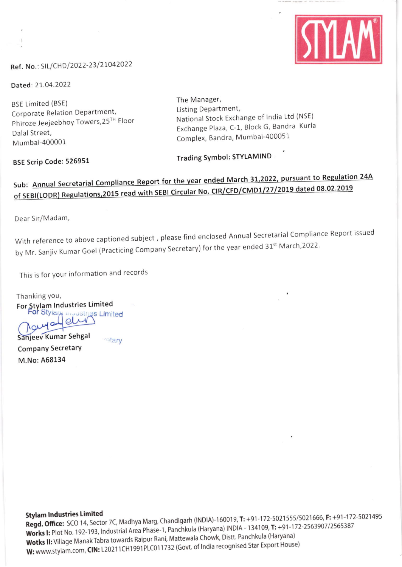

#### Ref. No.: SIL/CHD/2022-23/21042022

Dated: 21.04.2022

**BSE Limited (BSE)** Corporate Relation Department, Phiroze Jeejeebhoy Towers, 25TH Floor Dalal Street, Mumbai-400001

The Manager, Listing Department, National Stock Exchange of India Ltd (NSE) Exchange Plaza, C-1, Block G, Bandra Kurla Complex, Bandra, Mumbai-400051

BSE Scrip Code: 526951

**Trading Symbol: STYLAMIND** 

## Sub: Annual Secretarial Compliance Report for the year ended March 31,2022, pursuant to Regulation 24A of SEBI(LODR) Regulations, 2015 read with SEBI Circular No. CIR/CFD/CMD1/27/2019 dated 08.02.2019

Dear Sir/Madam,

With reference to above captioned subject, please find enclosed Annual Secretarial Compliance Report issued by Mr. Sanjiv Kumar Goel (Practicing Company Secretary) for the year ended 31<sup>st</sup> March, 2022.

This is for your information and records

Thanking you, For Stylam Industries Limited For Stylar<sub>t</sub> muustries Limited Nouralleli Sanjeev Kumar Sehgal retary

**Company Secretary** 

M.No: A68134

**Stylam Industries Limited** 

Regd. Office: SCO 14, Sector 7C, Madhya Marg, Chandigarh (INDIA)-160019, T: +91-172-5021555/5021666, F: +91-172-5021495 Works I: Plot No. 192-193, Industrial Area Phase-1, Panchkula (Haryana) INDIA - 134109, T: +91-172-2563907/2565387 Wotks II: Village Manak Tabra towards Raipur Rani, Mattewala Chowk, Distt. Panchkula (Haryana) W: www.stylam.com, CIN: L20211CH1991PLC011732 (Govt. of India recognised Star Export House)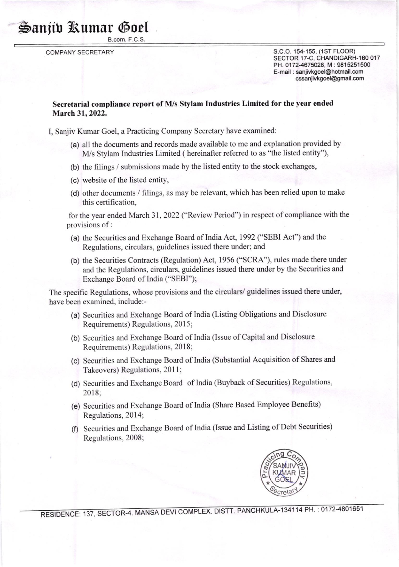### **S**anjib Rumar Goel

B.com. F.C.S

COMPANY SECRETARY

S.C.O. 154-155, (1ST FLOOR) SECTOR 17-C, CHANDIGARH-160 017 PH. 0172-4675028, M: 9815251500 E-mail : saniivkgoel@hotmail.com cssanjivkgoel@gmail.com

#### Secretarial compliance report of M/s Stylam Industries Limited for the year ended March 31, 2022.

I, Sanjiv Kumar Goel, a Practicing Company Secretary have examined:

- (a) all the documents and records made available to me and explanation provided by M/s Stylam Industries Limited ( hereinafter referred to as "the listed entity"),
- (b) the filings / submissions made by the listed entity to the stock exchanges,
- (c) website of the listed entity,
- (d) other documents / filings, as may be relevant, which has been relied upon to make this certification,

for the year ended March 31,2022 ("Review Period") in respect of compliance with the provisions of :

- (a) the Securities and Exchange Board of India Act, 1992 ("SEBI Act") and the Regulations, circulars, guidelines issued there under; and
- (b) the Securities Contracts (Regulation) Act, 1956 ('SCRA"), rules made there under and the Regulations, circulars, guidelines issued there under by the Securities and Exchange Board of India ("SEBI");

The specific Regulations, whose provisions and the circulars/ guidelines issued there under, have been examined. include:-

- (a) Securities and Exchange Board of India (Listing Obligations and Disclosure Requirements) Regulations, 2015;
- (b) Securities and Exchange Board of India (lssue of Capital and Disclosure Requirements) Regulations, 2018;
- (c) Securities and Exchange Board of India (Substantial Acquisition of Shares and Takeovers) Regulations, 2011;
- (d) Securities and Exchange Board of India (Buyback of Securities) Regulations, 2018;
- (e) Securities and Exchange Board of India (Share Based Employee Benefits) Regulations, 2014;
- (f) Securities and Exchange Board of India (lssue and Listing of Debt Securities) Regulations, 2008;



RESIDENCE: 137, SECTOR-4. MANSA DEVI COMPLEX. DISTT. PANCHKULA-134114 PH.: 0172-4801651